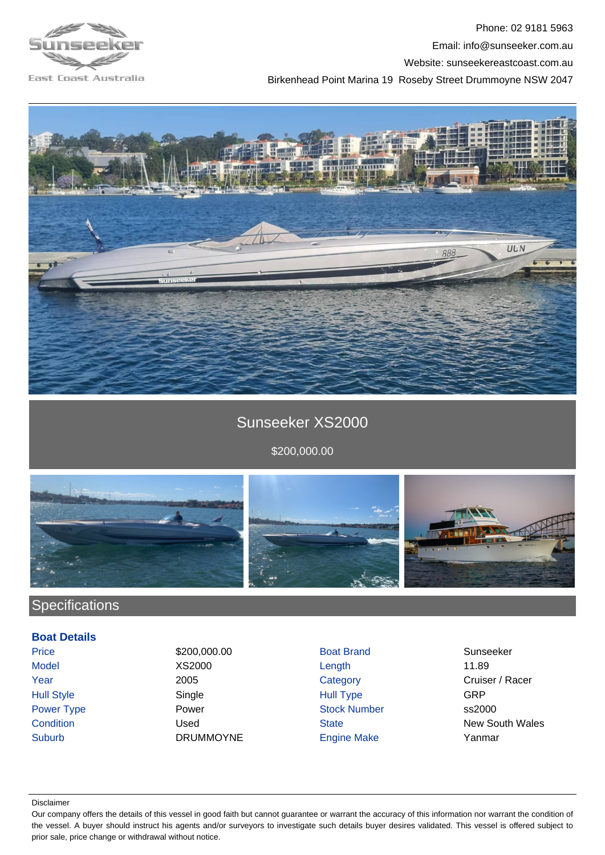

Phone: 02 9181 5963 Email: info@sunseeker.com.au Website: sunseekereastcoast.com.au Birkenhead Point Marina 19 Roseby Street Drummoyne NSW 2047



## Sunseeker XS2000

\$200,000.00



## **Specifications**

**Boat Details**

Suburb DRUMMOYNE Engine Make Yanmar

Price \$200,000.00 Boat Brand Sunseeker Model XS2000 Length 11.89 Hull Style Single Hull Type GRP Power Type **Power Stock Number** Stock Number ss2000

Year 2005 2005 Category Category Cruiser / Racer **Condition Condition Used Condition Used** State **State New South Wales** 

## Disclaimer

Our company offers the details of this vessel in good faith but cannot guarantee or warrant the accuracy of this information nor warrant the condition of the vessel. A buyer should instruct his agents and/or surveyors to investigate such details buyer desires validated. This vessel is offered subject to prior sale, price change or withdrawal without notice.